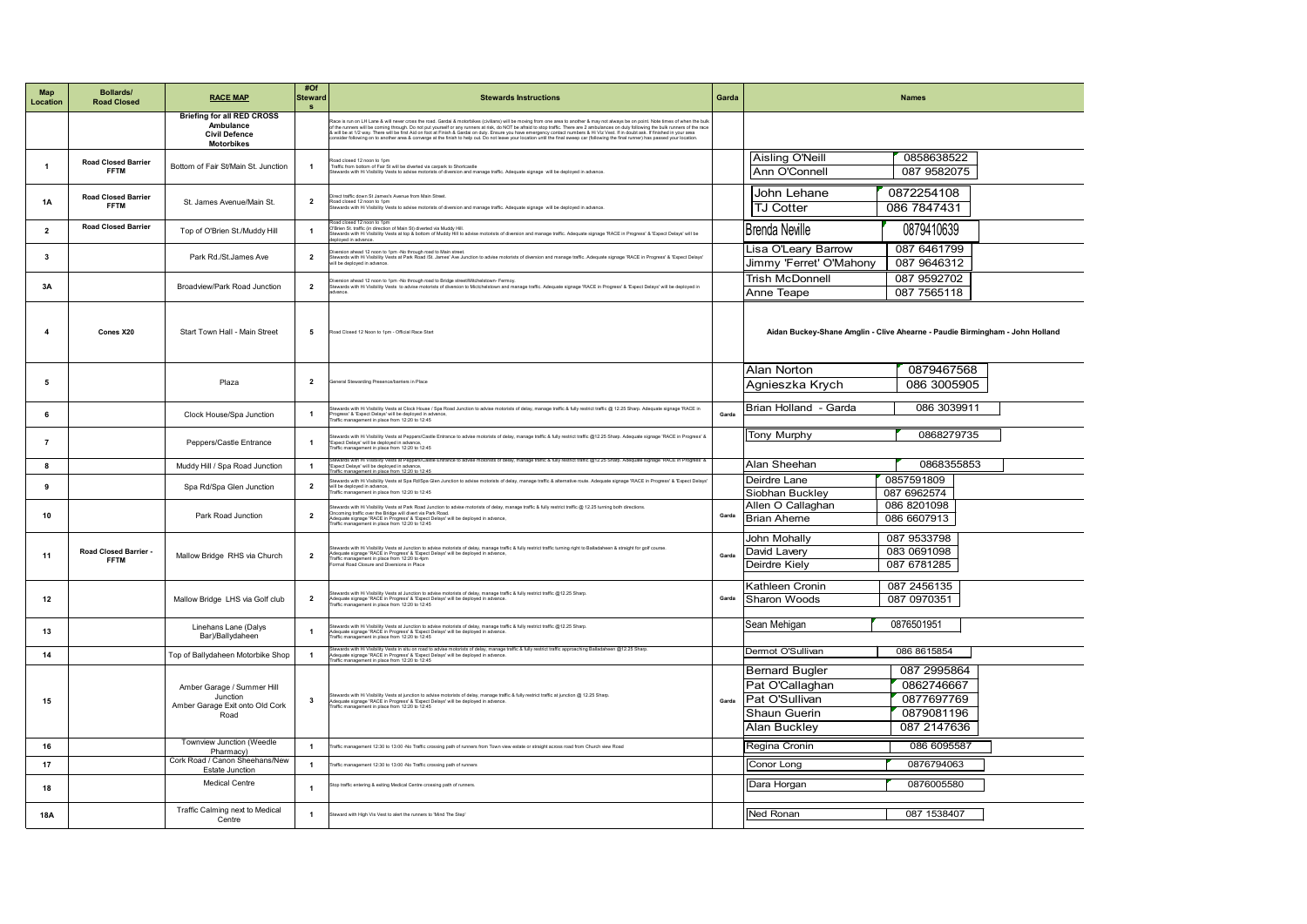| <b>Map</b><br>Location  | Bollards/<br><b>Road Closed</b>           | <b>RACE MAP</b>                                                                             | #Of<br><b>Steward</b> | <b>Stewards Instructions</b>                                                                                                                                                                                                                                                                                                                                                                                              | Garda | <b>Names</b>                                                                                                                                                       |
|-------------------------|-------------------------------------------|---------------------------------------------------------------------------------------------|-----------------------|---------------------------------------------------------------------------------------------------------------------------------------------------------------------------------------------------------------------------------------------------------------------------------------------------------------------------------------------------------------------------------------------------------------------------|-------|--------------------------------------------------------------------------------------------------------------------------------------------------------------------|
|                         |                                           | <b>Briefing for all RED CROSS</b><br>Ambulance<br><b>Civil Defence</b><br><b>Motorbikes</b> |                       | ace is run on LH Lane & will never cross the road. Gardai & motorbikes (civilians) will be moving from one area to another & may not always be on point. Note times of when the bulk<br>of the rumers will be coming though. Do not put yourself or any rumers at risk, do NOT be afraid to stop traffic. There are 2 ambulances on duty following the bulk rumers of the race<br>& will be at 12 way. There will be tria |       |                                                                                                                                                                    |
| $\mathbf{1}$            | <b>Road Closed Barrier</b><br><b>FFTM</b> | Bottom of Fair St/Main St. Junction                                                         | $\mathbf{1}$          | ad closed 12 noon to 1pn<br>Traffic from bottom of Fair St will be diverted via carpark to Shortcastle<br>tewards with Hi Visibility Vests to advise motorists of diversion and manage traffic. Adequate signage will be deployed in advance.                                                                                                                                                                             |       | Aisling O'Neill<br>0858638522<br>087 9582075<br>Ann O'Connell                                                                                                      |
| 1A                      | <b>Road Closed Barrier</b><br><b>FFTM</b> | St. James Avenue/Main St.                                                                   | $\overline{2}$        | irect traffic down St James's Avenue from Main Street.<br>Road closed 12 noon to 1pm<br>wards with Hi Visibility Vests to advise motorists of diversion and manage traffic. Adequate signage will be deployed in advance.                                                                                                                                                                                                 |       | 0872254108<br><b>John Lehane</b><br><b>TJ Cotter</b><br>086 7847431                                                                                                |
| $\overline{2}$          | <b>Road Closed Barrier</b>                | Top of O'Brien St./Muddy Hill                                                               | $\mathbf{1}$          | .<br>D'Brien St. traffic (in direction of Main St) diverted via Muddy Hill<br>tewards with Hi Visibility Vests at top & bottom of Muddy Hill to advise motorists of diversion and manage traffic. Adequate signage 'RACE in Progress' & 'Expect Delays' will be<br>wed in advance                                                                                                                                         |       | <b>Brenda Neville</b><br>0879410639                                                                                                                                |
| 3                       |                                           | Park Rd./St.James Ave                                                                       | $\overline{2}$        | אשראני אויישע האפשרוני און א יויישע שלאפן המפום מאשר 1966.<br>Slewards with H Vibibility Vesta Bark Road /SL James' Ave Junction to advise motorists of diversion and manage traffic. Adequate signage 'RACE in Progress' & 'Exp                                                                                                                                                                                          |       | Lisa O'Leary Barrow<br>087 6461799<br>Jimmy 'Ferret' O'Mahony<br>087 9646312                                                                                       |
| 3A                      |                                           | Broadview/Park Road Junction                                                                | $\overline{2}$        | Diversion ahead 12 noon to 1pm -No through road to Bridge street/Mitchelstown- Fermoy.<br>Stewards with Hi Visibility Vests to advise motorists of diversion to Mictchelstown and manage traffic. Adequate signage 'RACE in Progr<br>ance.                                                                                                                                                                                |       | 087 9592702<br>Trish McDonnell<br>087 7565118<br>Anne Teape                                                                                                        |
| $\overline{\mathbf{4}}$ | Cones X20                                 | Start Town Hall - Main Street                                                               | 5                     | Road Closed 12 Noon to 1pm - Official Race Star                                                                                                                                                                                                                                                                                                                                                                           |       | Aidan Buckey-Shane Amglin - Clive Ahearne - Paudie Birmingham - John Holland                                                                                       |
| 5                       |                                           | Plaza                                                                                       | $\overline{2}$        | Seneral Stewarding Presence/barriers in Place                                                                                                                                                                                                                                                                                                                                                                             |       | 0879467568<br>Alan Norton<br>086 3005905<br>Agnieszka Krych                                                                                                        |
| 6                       |                                           | Clock House/Spa Junction                                                                    | $\overline{1}$        | Stewards with Hi Visibility Vests at Clock House / Spa Road Junction to advise motorists of delay, manage traffic & fully restrict traffic @ 12.25 Sharp. Adequate signage 'RACE in<br>Progrest & Expect Delays' will be deployed                                                                                                                                                                                         | Garda | Brian Holland - Garda<br>086 3039911                                                                                                                               |
| $\overline{7}$          |                                           | Peppers/Castle Entrance                                                                     | $\overline{1}$        | tewards with Hi Visibility Vests at Peppers/Castle Entrance to advise motorists of delay, manage traffic & fully restrict traffic @12.25 Sharp. Adequate signage 'RACE in Progress' &<br>'Expect Delays' will be deployed in advant<br>affic management in place from 12:20 to 12:45                                                                                                                                      |       | <b>Tony Murphy</b><br>0868279735                                                                                                                                   |
| 8                       |                                           | Muddy Hill / Spa Road Junction                                                              | $\overline{1}$        | Stewards with Hi Visibility Vests at Peppers/Castle Entrance to advise motorists of delay, manage traffic & fully restrict traffic @12.25 Sharp. Adequate signage "RACE in Progress" &<br>"Expect Delays" will be deployed in adv<br>in place from 12:20 to 12:4                                                                                                                                                          |       | Alan Sheehan<br>0868355853                                                                                                                                         |
| 9                       |                                           | Spa Rd/Spa Glen Junction                                                                    | $\overline{2}$        | tewards with Hi Visibility Vests at Spa Rd/Spa Glen Junction to advise motorists of delay, manage traffic & alternative route. Adequate signage 'RACE in Progress' & 'Expect Delays'<br>will be deployed in advance,<br>Traffic management in place from 12:20 to 12:45                                                                                                                                                   |       | 0857591809<br>Deirdre Lane                                                                                                                                         |
| 10                      |                                           | Park Road Junction                                                                          | $\overline{2}$        | ewards with Hi Visibility Vests at Park Road Junction to advise motorists of delay, manage traffic & fully restrict traffic @ 12.25 turning both directions<br>Suewards wrar i'r visioniny vessi ar rain Koata Juriculori to advise motorisis or detay, n<br>Oncoming traffic over the Bridge will divert via Park Road.<br>Adequate signage 'RACE in Progress' & 'Expect Delays' will be deployed                        | Garda | Siobhan Buckley<br>087 6962574<br>086 8201098<br>Allen O Callaghan<br><b>Brian Aherne</b><br>086 6607913                                                           |
| 11                      | Road Closed Barrier -<br><b>FFTM</b>      | Mallow Bridge RHS via Church                                                                | $\overline{2}$        | Stewards with Hi Visibility Vests at Junction to advise motorists of delay, manage traffic & fully restrict traffic turning right to Balladaheen & straight for golf course.<br>Adequate signage TAACE in Progress & Expect Delay<br>ormal Road Closure and Diversions in Place                                                                                                                                           | Garda | 087 9533798<br>John Mohally<br>083 0691098<br>David Lavery<br>087 6781285<br>Deirdre Kiely                                                                         |
| 12                      |                                           | Mallow Bridge LHS via Golf club                                                             | $\overline{2}$        | tewards with Hi Visibility Vests at Junction to advise motorists of delay, manage traffic & fully restrict traffic @12.25 Sharp.<br>Adequate signage 'RACE in Progress' & 'Expect Delays' will be deployed in advance.<br>Traffic management in place from 12:20 to 12:45                                                                                                                                                 | Garda | 087 2456135<br>Kathleen Cronin<br>Sharon Woods<br>087 0970351                                                                                                      |
| 13                      |                                           | Linehans Lane (Dalys<br>Bar)/Ballydaheen                                                    | $\mathbf{1}$          | Stewards with Hi Visibility Vests at Junction to advise motorists of delay, manage traffic & fully restrict traffic @12.25 Sharp.<br>Adequate signage 'RACE in Progress' & 'Expect Delays' will be deployed in advance.<br>Traffic m                                                                                                                                                                                      |       | 0876501951<br>Sean Mehigan                                                                                                                                         |
| 14                      |                                           | Top of Ballydaheen Motorbike Shop                                                           | $\overline{1}$        | Stewards with Hi Visibility Vests in situ on road to advise motorists of delay, manage traffic & fully restrict traffic approaching Balladaheen @12.25 Sharp.<br>Adequate signage 'RACE in Progress' & 'Expect Delays' will be de<br>Fraffic management in place from 12:20 to 12:45                                                                                                                                      |       | Dermot O'Sullivan<br>086 8615854                                                                                                                                   |
| 15                      |                                           | Amber Garage / Summer Hill<br>Junction<br>Amber Garage Exit onto Old Cork<br>Road           | $\mathbf{3}$          | Stewards with Hi Visibility Vests at junction to advise motorists of delay, manage traffic & fully restrict traffic at junction @ 12.25 Sharp<br>commune was considered as a pursual to advise motorists or delay, manage trafficence of the Progress' & "Expect Delays' will be deployed in advance.<br>Traffic management in place from 12:20 to 12:45                                                                  | Garda | 087 2995864<br><b>Bernard Bugler</b><br>Pat O'Callaghan<br>0862746667<br>Pat O'Sullivan<br>0877697769<br>0879081196<br>Shaun Guerin<br>Alan Buckley<br>087 2147636 |
| 16                      |                                           | Townview Junction (Weedle<br>Pharmacy)                                                      | $\mathbf{1}$          | raffic management 12:30 to 13:00 -No Traffic crossing path of runners from Town view estate or straight across road from Church view Road                                                                                                                                                                                                                                                                                 |       | 086 6095587<br>Regina Cronin                                                                                                                                       |
| 17                      |                                           | Cork Road / Canon Sheehans/New<br>Estate Junction                                           | $\mathbf{1}$          | raffic management 12:30 to 13:00 -No Traffic crossing path of runners                                                                                                                                                                                                                                                                                                                                                     |       | 0876794063<br>Conor Long                                                                                                                                           |
| 18                      |                                           | <b>Medical Centre</b>                                                                       | $\overline{1}$        | Stop traffic entering & exiting Medical Centre crossing path of runners.                                                                                                                                                                                                                                                                                                                                                  |       | 0876005580<br>Dara Horgan                                                                                                                                          |
| 18A                     |                                           | Traffic Calming next to Medical<br>Centre                                                   | $\overline{1}$        | Steward with High Vis Vest to alert the runners to 'Mind The Step'                                                                                                                                                                                                                                                                                                                                                        |       | Ned Ronan<br>087 1538407                                                                                                                                           |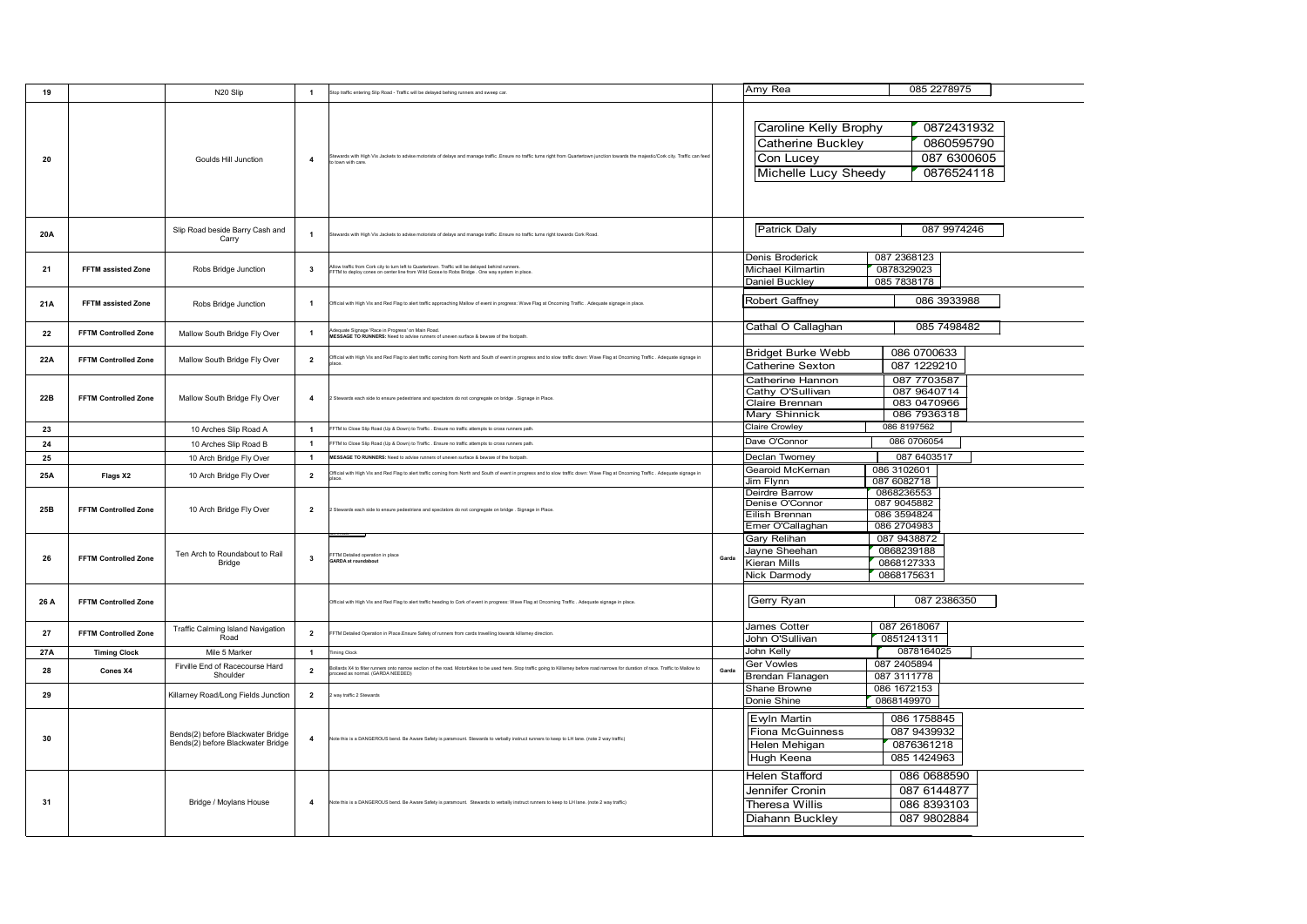| 19   |                             | N20 Slip                                                               | $\overline{1}$          | Stop traffic entering Slip Road - Traffic will be delayed behing runners and sweep car.                                                                                                                                       |       | Amy Rea                                                                              | 085 2278975                                              |
|------|-----------------------------|------------------------------------------------------------------------|-------------------------|-------------------------------------------------------------------------------------------------------------------------------------------------------------------------------------------------------------------------------|-------|--------------------------------------------------------------------------------------|----------------------------------------------------------|
| 20   |                             | Goulds Hill Junction                                                   | $\overline{4}$          | .<br>Stewards with High Vis Jackets to advise motorists of delays and manage traffic. Ensure no traffic turns right from Quartertown junction towards the majestic/Cork city. Traffic can feed<br>Ito town with care.         |       | Caroline Kelly Brophy<br>Catherine Buckley<br>Con Lucey                              | 0872431932<br>0860595790<br>087 6300605                  |
|      |                             |                                                                        |                         |                                                                                                                                                                                                                               |       | Michelle Lucy Sheedy                                                                 | 0876524118                                               |
| 20A  |                             | Slip Road beside Barry Cash and<br>Carry                               | $\mathbf{1}$            | Stewards with High Vis Jackets to advise motorists of delays and manage traffic .Ensure no traffic turns right towards Cork Road.                                                                                             |       | <b>Patrick Daly</b>                                                                  | 087 9974246                                              |
| 21   | <b>FFTM assisted Zone</b>   | Robs Bridge Junction                                                   | $\mathbf{3}$            | .<br>Allow traffic from Cork city to turn left to Quartertown. Traffic will be delayed behind runners.<br>FFTM to deploy cones on center line from Wild Goose to Robs Bridge . One way system in place.                       |       | Denis Broderick<br><b>Michael Kilmartin</b><br>Daniel Buckley                        | 087 2368123<br>0878329023<br>085 7838178                 |
| 21A  | FFTM assisted Zone          | Robs Bridge Junction                                                   | $\mathbf{1}$            | Official with High Vis and Red Flag to alert traffic approaching Mallow of event in progress: Wave Flag at Oncoming Traffic . Adequate signage in place                                                                       |       | <b>Robert Gaffney</b>                                                                | 086 3933988                                              |
| 22   | <b>FFTM Controlled Zone</b> | Mallow South Bridge Fly Over                                           | $\overline{1}$          | Adequate Signage 'Race in Progress' on Main Road.<br>MESSAGE TO RUNNERS: Need to advise runners of uneven surface & beware of the footpath                                                                                    |       | Cathal O Callaghan                                                                   | 085 7498482                                              |
| 22A  | <b>FFTM Controlled Zone</b> | Mallow South Bridge Fly Over                                           | $\overline{2}$          | Official with High Vis and Red Flag to alert traffic coming from North and South of event in progress and to slow traffic down: Wave Flag at Oncoming Traffic . Adequate signage in                                           |       | <b>Bridget Burke Webb</b><br><b>Catherine Sexton</b>                                 | 086 0700633<br>087 1229210                               |
| 22B  | <b>FFTM Controlled Zone</b> | Mallow South Bridge Fly Over                                           | $\overline{\mathbf{4}}$ | Stewards each side to ensure pedestrians and spectators do not congregate on bridge . Signage in Place                                                                                                                        |       | Catherine Hannon<br>Cathy O'Sullivan<br>Claire Brennan<br>Mary Shinnick              | 087 7703587<br>087 9640714<br>083 0470966<br>086 7936318 |
| 23   |                             | 10 Arches Slip Road A                                                  | $\overline{1}$          | FFTM to Close Slip Road (Up & Down) to Traffic . Ensure no traffic attempts to cross runners path.                                                                                                                            |       | Claire Crowley                                                                       | 086 8197562                                              |
| 24   |                             | 10 Arches Slip Road B                                                  | $\overline{1}$          | FFTM to Close Slip Road (Up & Down) to Traffic . Ensure no traffic attempts to cross runners path.                                                                                                                            |       | Dave O'Connor                                                                        | 086 0706054                                              |
| 25   |                             | 10 Arch Bridge Fly Over                                                | $\mathbf{1}$            | MESSAGE TO RUNNERS: Need to advise runners of uneven surface & beware of the footpath.                                                                                                                                        |       | <b>Declan Twomey</b>                                                                 | 087 6403517                                              |
| 25A  | Flags X2                    | 10 Arch Bridge Fly Over                                                | $\overline{2}$          | Official with High Vis and Red Flag to alert traffic coming from North and South of event in progress and to slow traffic down: Wave Flag at Oncoming Traffic . Adequate signage in                                           |       | Gearoid McKernan<br>Jim Flynn                                                        | 086 3102601<br>087 6082718                               |
| 25B  | FFTM Controlled Zone        | 10 Arch Bridge Fly Over                                                | $\overline{2}$          | Stewards each side to ensure pedestrians and spectators do not congregate on bridge . Signage in Place.                                                                                                                       |       | Deirdre Barrow<br>Denise O'Connor<br>Eilish Brennan<br>Emer O'Callaghan              | 0868236553<br>087 9045882<br>086 3594824<br>086 2704983  |
| 26   | <b>FFTM Controlled Zone</b> | Ten Arch to Roundabout to Rail<br>Bridge                               | $\overline{\mathbf{3}}$ | FFTM Detailed operation in place<br>GARDA at roundabout                                                                                                                                                                       | Garda | Gary Relihan<br>Jayne Sheehan<br>Kieran Mills<br>Nick Darmody                        | 087 9438872<br>0868239188<br>0868127333<br>0868175631    |
| 26 A | <b>FFTM Controlled Zone</b> |                                                                        |                         | Official with High Vis and Red Flag to alert traffic heading to Cork of event in progress: Wave Flag at Oncoming Traffic . Adequate signage in place.                                                                         |       | Gerry Ryan                                                                           | 087 2386350                                              |
| 27   | <b>FFTM Controlled Zone</b> | Traffic Calming Island Navigation<br>Road                              | $\overline{2}$          | FFTM Detailed Operation in Place.Ensure Safety of runners from cards travelling towards killarney direction.                                                                                                                  |       | James Cotter<br>John O'Sullivan                                                      | 087 2618067<br>0851241311                                |
| 27A  | <b>Timing Clock</b>         | Mile 5 Marker                                                          | $\mathbf{1}$            | iming Clock                                                                                                                                                                                                                   |       | John Kelly                                                                           | 0878164025                                               |
| 28   | Cones X4                    | Firville End of Racecourse Hard<br>Shoulder                            | $\overline{\mathbf{2}}$ | ioliards X4 to filter runners onto narrow section of the road. Motorbikes to be used here. Stop traffic going to Killarney before road narrows for duration of race. Traffic to Mallow to<br>roceed as normal. (GARDA NEEDED) | Garda | Ger Vowles<br>Brendan Flanagen                                                       | 087 2405894<br>087 3111778                               |
| 29   |                             | Killarney Road/Long Fields Junction                                    | $\overline{2}$          | way traffic 2 Stewards                                                                                                                                                                                                        |       | Shane Browne<br>Donie Shine                                                          | 086 1672153<br>0868149970                                |
| 30   |                             | Bends(2) before Blackwater Bridge<br>Bends(2) before Blackwater Bridge | $\overline{4}$          | Note this is a DANGEROUS bend. Be Aware Safety is paramount. Stewards to verbally instruct runners to keep to LH lane. (note 2 way traffic)                                                                                   |       | Ewln Martin<br><b>Fiona McGuinness</b><br>Helen Mehigan<br>Hugh Keena                | 086 1758845<br>087 9439932<br>0876361218<br>085 1424963  |
| 31   |                             | Bridge / Moylans House                                                 | $\overline{4}$          | Note this is a DANGEROUS bend. Be Aware Safety is paramount. Stewards to verbally instruct runners to keep to LH lane. (note 2 way traffic)                                                                                   |       | <b>Helen Stafford</b><br>Jennifer Cronin<br><b>Theresa Willis</b><br>Diahann Buckley | 086 0688590<br>087 6144877<br>086 8393103<br>087 9802884 |